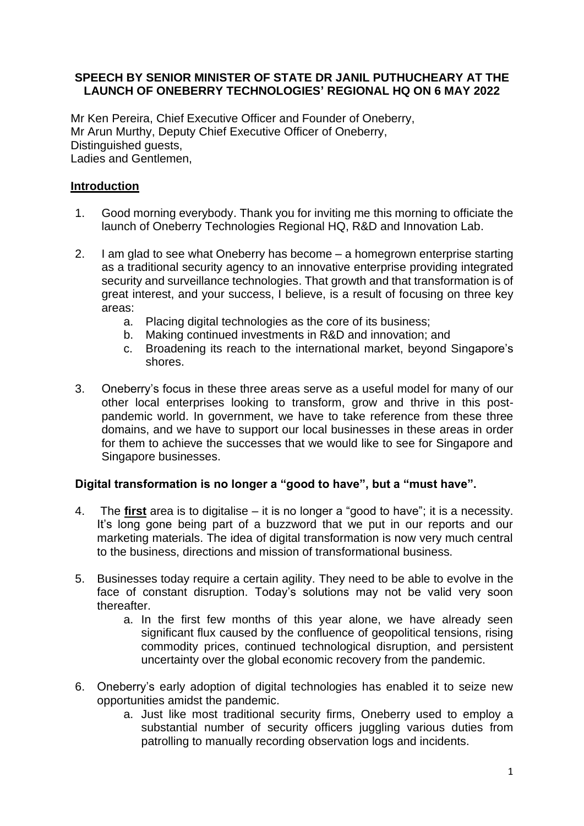### **SPEECH BY SENIOR MINISTER OF STATE DR JANIL PUTHUCHEARY AT THE LAUNCH OF ONEBERRY TECHNOLOGIES' REGIONAL HQ ON 6 MAY 2022**

Mr Ken Pereira, Chief Executive Officer and Founder of Oneberry, Mr Arun Murthy, Deputy Chief Executive Officer of Oneberry, Distinguished guests, Ladies and Gentlemen,

# **Introduction**

- 1. Good morning everybody. Thank you for inviting me this morning to officiate the launch of Oneberry Technologies Regional HQ, R&D and Innovation Lab.
- 2. I am glad to see what Oneberry has become a homegrown enterprise starting as a traditional security agency to an innovative enterprise providing integrated security and surveillance technologies. That growth and that transformation is of great interest, and your success, I believe, is a result of focusing on three key areas:
	- a. Placing digital technologies as the core of its business;
	- b. Making continued investments in R&D and innovation; and
	- c. Broadening its reach to the international market, beyond Singapore's shores.
- 3. Oneberry's focus in these three areas serve as a useful model for many of our other local enterprises looking to transform, grow and thrive in this postpandemic world. In government, we have to take reference from these three domains, and we have to support our local businesses in these areas in order for them to achieve the successes that we would like to see for Singapore and Singapore businesses.

# **Digital transformation is no longer a "good to have", but a "must have".**

- 4. The **first** area is to digitalise it is no longer a "good to have"; it is a necessity. It's long gone being part of a buzzword that we put in our reports and our marketing materials. The idea of digital transformation is now very much central to the business, directions and mission of transformational business.
- 5. Businesses today require a certain agility. They need to be able to evolve in the face of constant disruption. Today's solutions may not be valid very soon thereafter.
	- a. In the first few months of this year alone, we have already seen significant flux caused by the confluence of geopolitical tensions, rising commodity prices, continued technological disruption, and persistent uncertainty over the global economic recovery from the pandemic.
- 6. Oneberry's early adoption of digital technologies has enabled it to seize new opportunities amidst the pandemic.
	- a. Just like most traditional security firms, Oneberry used to employ a substantial number of security officers juggling various duties from patrolling to manually recording observation logs and incidents.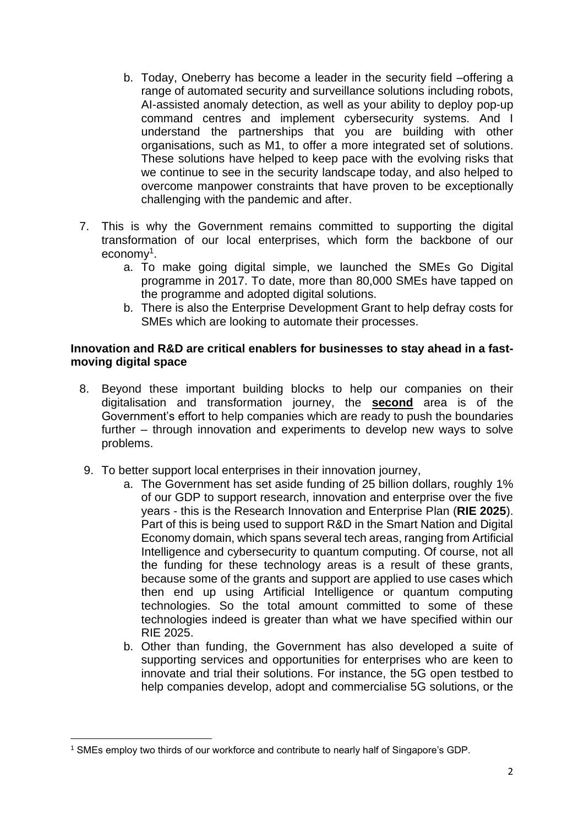- b. Today, Oneberry has become a leader in the security field –offering a range of automated security and surveillance solutions including robots, AI-assisted anomaly detection, as well as your ability to deploy pop-up command centres and implement cybersecurity systems. And I understand the partnerships that you are building with other organisations, such as M1, to offer a more integrated set of solutions. These solutions have helped to keep pace with the evolving risks that we continue to see in the security landscape today, and also helped to overcome manpower constraints that have proven to be exceptionally challenging with the pandemic and after.
- 7. This is why the Government remains committed to supporting the digital transformation of our local enterprises, which form the backbone of our economy<sup>1</sup>.
	- a. To make going digital simple, we launched the SMEs Go Digital programme in 2017. To date, more than 80,000 SMEs have tapped on the programme and adopted digital solutions.
	- b. There is also the Enterprise Development Grant to help defray costs for SMEs which are looking to automate their processes.

### **Innovation and R&D are critical enablers for businesses to stay ahead in a fastmoving digital space**

- 8. Beyond these important building blocks to help our companies on their digitalisation and transformation journey, the **second** area is of the Government's effort to help companies which are ready to push the boundaries further – through innovation and experiments to develop new ways to solve problems.
- 9. To better support local enterprises in their innovation journey,
	- a. The Government has set aside funding of 25 billion dollars, roughly 1% of our GDP to support research, innovation and enterprise over the five years - this is the Research Innovation and Enterprise Plan (**RIE 2025**). Part of this is being used to support R&D in the Smart Nation and Digital Economy domain, which spans several tech areas, ranging from Artificial Intelligence and cybersecurity to quantum computing. Of course, not all the funding for these technology areas is a result of these grants, because some of the grants and support are applied to use cases which then end up using Artificial Intelligence or quantum computing technologies. So the total amount committed to some of these technologies indeed is greater than what we have specified within our RIE 2025.
	- b. Other than funding, the Government has also developed a suite of supporting services and opportunities for enterprises who are keen to innovate and trial their solutions. For instance, the 5G open testbed to help companies develop, adopt and commercialise 5G solutions, or the

<sup>1</sup> SMEs employ two thirds of our workforce and contribute to nearly half of Singapore's GDP.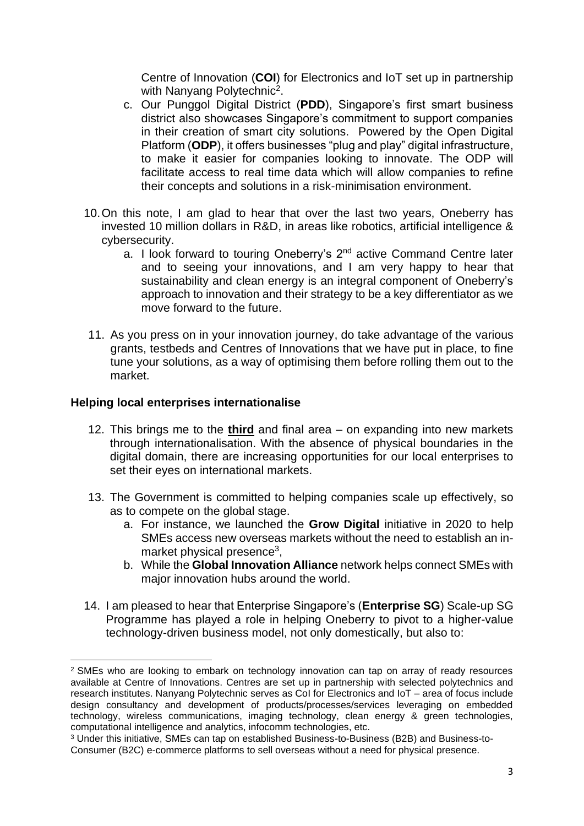Centre of Innovation (**COI**) for Electronics and IoT set up in partnership with Nanyang Polytechnic<sup>2</sup>.

- c. Our Punggol Digital District (**PDD**), Singapore's first smart business district also showcases Singapore's commitment to support companies in their creation of smart city solutions. Powered by the Open Digital Platform (**ODP**), it offers businesses "plug and play" digital infrastructure, to make it easier for companies looking to innovate. The ODP will facilitate access to real time data which will allow companies to refine their concepts and solutions in a risk-minimisation environment.
- 10.On this note, I am glad to hear that over the last two years, Oneberry has invested 10 million dollars in R&D, in areas like robotics, artificial intelligence & cybersecurity.
	- a. I look forward to touring Oneberry's 2<sup>nd</sup> active Command Centre later and to seeing your innovations, and I am very happy to hear that sustainability and clean energy is an integral component of Oneberry's approach to innovation and their strategy to be a key differentiator as we move forward to the future.
- 11. As you press on in your innovation journey, do take advantage of the various grants, testbeds and Centres of Innovations that we have put in place, to fine tune your solutions, as a way of optimising them before rolling them out to the market.

#### **Helping local enterprises internationalise**

- 12. This brings me to the **third** and final area on expanding into new markets through internationalisation. With the absence of physical boundaries in the digital domain, there are increasing opportunities for our local enterprises to set their eyes on international markets.
- 13. The Government is committed to helping companies scale up effectively, so as to compete on the global stage.
	- a. For instance, we launched the **Grow Digital** initiative in 2020 to help SMEs access new overseas markets without the need to establish an inmarket physical presence<sup>3</sup>,
	- b. While the **Global Innovation Alliance** network helps connect SMEs with major innovation hubs around the world.
- 14. I am pleased to hear that Enterprise Singapore's (**Enterprise SG**) Scale-up SG Programme has played a role in helping Oneberry to pivot to a higher-value technology-driven business model, not only domestically, but also to:

<sup>&</sup>lt;sup>2</sup> SMEs who are looking to embark on technology innovation can tap on array of ready resources available at Centre of Innovations. Centres are set up in partnership with selected polytechnics and research institutes. Nanyang Polytechnic serves as CoI for Electronics and IoT – area of focus include design consultancy and development of products/processes/services leveraging on embedded technology, wireless communications, imaging technology, clean energy & green technologies, computational intelligence and analytics, infocomm technologies, etc.

<sup>3</sup> Under this initiative, SMEs can tap on established Business-to-Business (B2B) and Business-to-Consumer (B2C) e-commerce platforms to sell overseas without a need for physical presence.